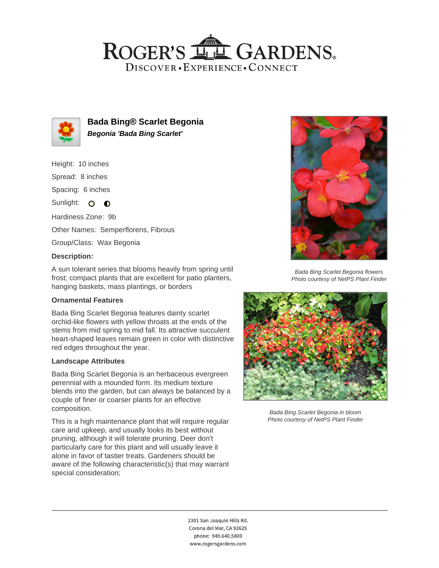## ROGER'S LL GARDENS. DISCOVER · EXPERIENCE · CONNECT



**Bada Bing® Scarlet Begonia Begonia 'Bada Bing Scarlet'**

Height: 10 inches

Spread: 8 inches

Spacing: 6 inches

Sunlight: O O

Hardiness Zone: 9b

Other Names: Semperflorens, Fibrous

Group/Class: Wax Begonia

## **Description:**

A sun tolerant series that blooms heavily from spring until frost; compact plants that are excellent for patio planters, hanging baskets, mass plantings, or borders

## **Ornamental Features**

Bada Bing Scarlet Begonia features dainty scarlet orchid-like flowers with yellow throats at the ends of the stems from mid spring to mid fall. Its attractive succulent heart-shaped leaves remain green in color with distinctive red edges throughout the year.

#### **Landscape Attributes**

Bada Bing Scarlet Begonia is an herbaceous evergreen perennial with a mounded form. Its medium texture blends into the garden, but can always be balanced by a couple of finer or coarser plants for an effective composition.

This is a high maintenance plant that will require regular care and upkeep, and usually looks its best without pruning, although it will tolerate pruning. Deer don't particularly care for this plant and will usually leave it alone in favor of tastier treats. Gardeners should be aware of the following characteristic(s) that may warrant special consideration;



Bada Bing Scarlet Begonia flowers Photo courtesy of NetPS Plant Finder



Bada Bing Scarlet Begonia in bloom Photo courtesy of NetPS Plant Finder

2301 San Joaquin Hills Rd. Corona del Mar, CA 92625 phone: 949.640.5800 www.rogersgardens.com